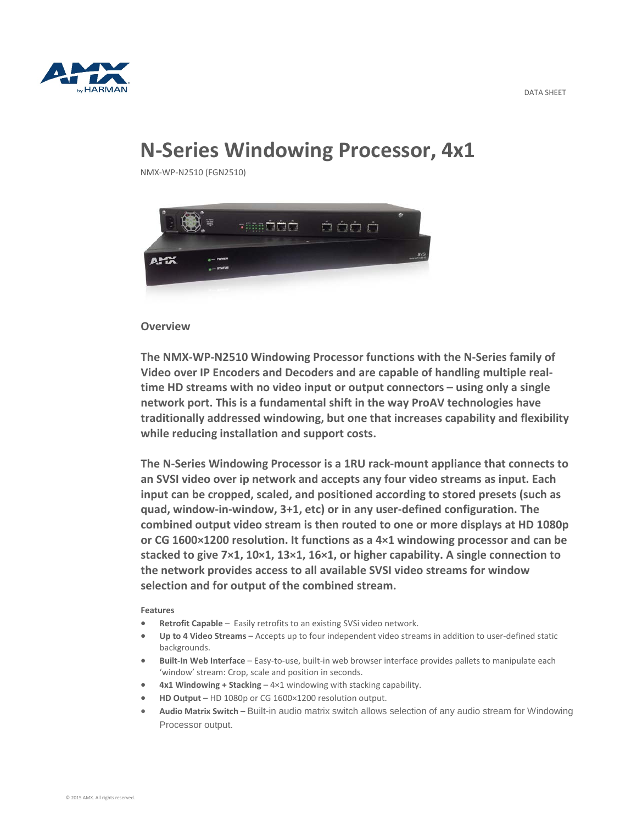

# **N-Series Windowing Processor, 4x1**

NMX-WP-N2510 (FGN2510)



### **Overview**

**The NMX-WP-N2510 Windowing Processor functions with the N-Series family of Video over IP Encoders and Decoders and are capable of handling multiple realtime HD streams with no video input or output connectors – using only a single network port. This is a fundamental shift in the way ProAV technologies have traditionally addressed windowing, but one that increases capability and flexibility while reducing installation and support costs.**

**The N-Series Windowing Processor is a 1RU rack-mount appliance that connects to an SVSI video over ip network and accepts any four video streams as input. Each input can be cropped, scaled, and positioned according to stored presets (such as quad, window-in-window, 3+1, etc) or in any user-defined configuration. The combined output video stream is then routed to one or more displays at HD 1080p or CG 1600×1200 resolution. It functions as a 4×1 windowing processor and can be stacked to give 7×1, 10×1, 13×1, 16×1, or higher capability. A single connection to the network provides access to all available SVSI video streams for window selection and for output of the combined stream.**

#### **Features**

- **Retrofit Capable** Easily retrofits to an existing SVSi video network.
- **Up to 4 Video Streams**  Accepts up to four independent video streams in addition to user-defined static backgrounds.
- **Built-In Web Interface** Easy-to-use, built-in web browser interface provides pallets to manipulate each 'window' stream: Crop, scale and position in seconds.
- **4x1 Windowing + Stacking** 4×1 windowing with stacking capability.
- **HD Output**  HD 1080p or CG 1600×1200 resolution output.
- **Audio Matrix Switch –** Built-in audio matrix switch allows selection of any audio stream for Windowing Processor output.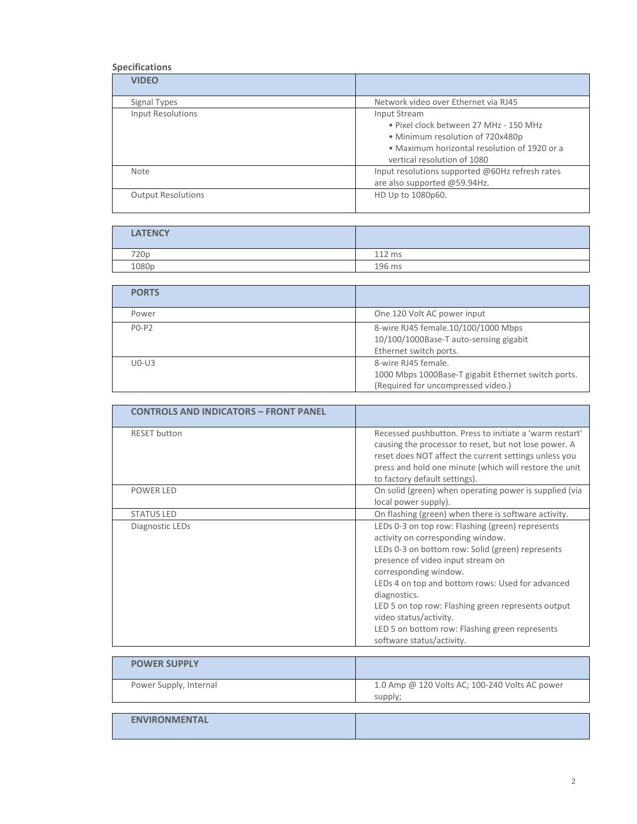#### **Specifications**

| <b>VIDEO</b>              |                                                                                                                                                                           |
|---------------------------|---------------------------------------------------------------------------------------------------------------------------------------------------------------------------|
| Signal Types              | Network video over Ethernet via RJ45                                                                                                                                      |
| <b>Input Resolutions</b>  | Input Stream<br>• Pixel clock between 27 MHz - 150 MHz<br>• Minimum resolution of 720x480p<br>• Maximum horizontal resolution of 1920 or a<br>vertical resolution of 1080 |
| Note                      | Input resolutions supported @60Hz refresh rates<br>are also supported @59.94Hz.                                                                                           |
| <b>Output Resolutions</b> | HD Up to 1080p60.                                                                                                                                                         |

| <b>LATENCY</b>   |        |
|------------------|--------|
| 720 <sub>p</sub> | 112 ms |
| 1080p            | 196 ms |

| <b>PORTS</b> |                                                                                                                  |
|--------------|------------------------------------------------------------------------------------------------------------------|
| Power        | One 120 Volt AC power input                                                                                      |
| $P0-P2$      | 8-wire RJ45 female.10/100/1000 Mbps<br>10/100/1000Base-T auto-sensing gigabit<br>Ethernet switch ports.          |
| $U0-U3$      | 8-wire RJ45 female.<br>1000 Mbps 1000Base-T gigabit Ethernet switch ports.<br>(Required for uncompressed video.) |

| <b>CONTROLS AND INDICATORS - FRONT PANEL</b> |                                                                                                                                                                                                                                                                                                                                                                                                                                            |
|----------------------------------------------|--------------------------------------------------------------------------------------------------------------------------------------------------------------------------------------------------------------------------------------------------------------------------------------------------------------------------------------------------------------------------------------------------------------------------------------------|
| <b>RESET button</b>                          | Recessed pushbutton. Press to initiate a 'warm restart'<br>causing the processor to reset, but not lose power. A<br>reset does NOT affect the current settings unless you<br>press and hold one minute (which will restore the unit<br>to factory default settings).                                                                                                                                                                       |
| <b>POWER LED</b>                             | On solid (green) when operating power is supplied (via<br>local power supply).                                                                                                                                                                                                                                                                                                                                                             |
| <b>STATUS LED</b>                            | On flashing (green) when there is software activity.                                                                                                                                                                                                                                                                                                                                                                                       |
| Diagnostic LEDs                              | LEDs 0-3 on top row: Flashing (green) represents<br>activity on corresponding window.<br>LEDs 0-3 on bottom row: Solid (green) represents<br>presence of video input stream on<br>corresponding window.<br>LEDs 4 on top and bottom rows: Used for advanced<br>diagnostics.<br>LED 5 on top row: Flashing green represents output<br>video status/activity.<br>LED 5 on bottom row: Flashing green represents<br>software status/activity. |
| <b>POWER SUPPLY</b>                          |                                                                                                                                                                                                                                                                                                                                                                                                                                            |

| <b>POWER SUPPLY</b>    |                                                           |
|------------------------|-----------------------------------------------------------|
| Power Supply, Internal | 1.0 Amp @ 120 Volts AC; 100-240 Volts AC power<br>supply; |
| <b>ENVIRONMENTAL</b>   |                                                           |